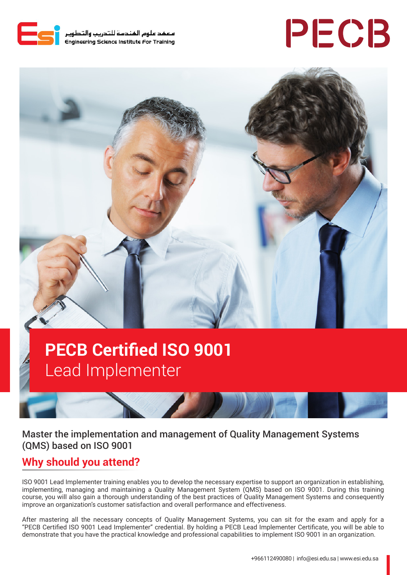

معهد علوم المندسة للتدريب والتطوير<br>Engineering Science Institute For Training

# PECB



## **PECB Certified ISO 9001**  Lead Implementer

Master the implementation and management of Quality Management Systems (QMS) based on ISO 9001

## **Why should you attend?**

ISO 9001 Lead Implementer training enables you to develop the necessary expertise to support an organization in establishing, implementing, managing and maintaining a Quality Management System (QMS) based on ISO 9001. During this training course, you will also gain a thorough understanding of the best practices of Quality Management Systems and consequently improve an organization's customer satisfaction and overall performance and effectiveness.

After mastering all the necessary concepts of Quality Management Systems, you can sit for the exam and apply for a "PECB Certified ISO 9001 Lead Implementer" credential. By holding a PECB Lead Implementer Certificate, you will be able to demonstrate that you have the practical knowledge and professional capabilities to implement ISO 9001 in an organization.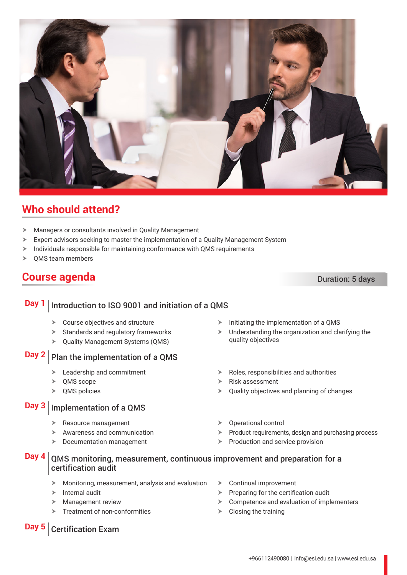

## **Who should attend?**

- $\blacktriangleright$  Managers or consultants involved in Quality Management
- $\triangleright$  Expert advisors seeking to master the implementation of a Quality Management System
- $\triangleright$  Individuals responsible for maintaining conformance with QMS requirements
- $\triangleright$  OMS team members

## **Course agenda** Duration: 5 days

### **Day 1** | Introduction to ISO 9001 and initiation of a QMS  $\triangleright$  Course objectives and structure  $\blacktriangleright$  Standards and regulatory frameworks > Quality Management Systems (QMS) **Day 2** Plan the implementation of a QMS  $\blacktriangleright$  Leadership and commitment  $\triangleright$  QMS scope  $\triangleright$  QMS policies **Day 3** | Implementation of a QMS Resource management  $\blacktriangleright$  Awareness and communication  $\triangleright$  Documentation management **Day 4** QMS monitoring, measurement, continuous improvement and preparation for a certification audit  $\triangleright$  Monitoring, measurement, analysis and evaluation  $\triangleright$  Internal audit  $\blacktriangleright$  Management review  $\blacktriangleright$  Treatment of non-conformities  $\triangleright$  Continual improvement  $\triangleright$  Preparing for the certification audit  $\triangleright$  Competence and evaluation of implementers  $\triangleright$  Closing the training **Day 5** Certification Exam

#### $\triangleright$  Initiating the implementation of a QMS

- $\blacktriangleright$  Understanding the organization and clarifying the quality objectives
- $\triangleright$  Roles, responsibilities and authorities
- $\triangleright$  Risk assessment
- $\triangleright$  Quality objectives and planning of changes
- $\triangleright$  Operational control
- $\blacktriangleright$  Product requirements, design and purchasing process
- $\blacktriangleright$  Production and service provision

#### +966112490080 | info@esi.edu.sa | www.esi.edu.sa

- -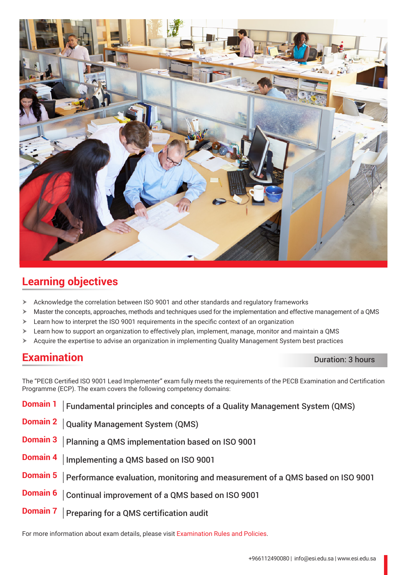

## **Learning objectives**

- $\blacktriangleright$  Acknowledge the correlation between ISO 9001 and other standards and regulatory frameworks
- $\triangleright$  Master the concepts, approaches, methods and techniques used for the implementation and effective management of a QMS
- $\geq$  Learn how to interpret the ISO 9001 requirements in the specific context of an organization

For more information about exam details, please visit [Examination Rules and Policies](https://pecb.com/en/examination-rules-and-policies).

- $\triangleright$  Learn how to support an organization to effectively plan, implement, manage, monitor and maintain a QMS
- $\triangleright$  Acquire the expertise to advise an organization in implementing Quality Management System best practices

## **Examination** Duration: 3 hours

The "PECB Certified ISO 9001 Lead Implementer" exam fully meets the requirements of the PECB Examination and Certification Programme (ECP). The exam covers the following competency domains:

**Domain 1** | Fundamental principles and concepts of a Quality Management System (QMS) **Domain 2** Quality Management System (QMS) **Domain 3** Planning a QMS implementation based on ISO 9001 **Domain 4** | Implementing a QMS based on ISO 9001 **Domain 5** Performance evaluation, monitoring and measurement of a QMS based on ISO 9001 **Domain 6** Continual improvement of a QMS based on ISO 9001 **Domain 7** Preparing for a QMS certification audit

+966112490080 | info@esi.edu.sa | www.esi.edu.sa